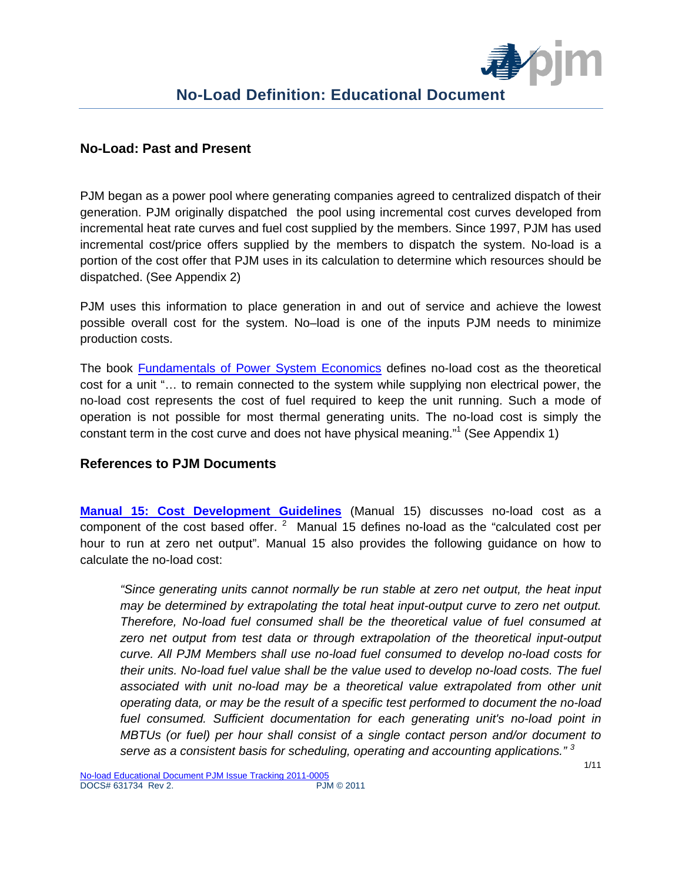

### **No-Load: Past and Present**

PJM began as a power pool where generating companies agreed to centralized dispatch of their generation. PJM originally dispatched the pool using incremental cost curves developed from incremental heat rate curves and fuel cost supplied by the members. Since 1997, PJM has used incremental cost/price offers supplied by the members to dispatch the system. No-load is a portion of the cost offer that PJM uses in its calculation to determine which resources should be dispatched. (See Appendix 2)

PJM uses this information to place generation in and out of service and achieve the lowest possible overall cost for the system. No–load is one of the inputs PJM needs to minimize production costs.

The book Fundamentals of Power System Economics defines no-load cost as the theoretical cost for a unit "… to remain connected to the system while supplying non electrical power, the no-load cost represents the cost of fuel required to keep the unit running. Such a mode of operation is not possible for most thermal generating units. The no-load cost is simply the constant term in the cost curve and does not have physical meaning."<sup>1</sup> (See Appendix 1)

## **References to PJM Documents**

**Manual 15: Cost Development Guidelines** (Manual 15) discusses no-load cost as a component of the cost based offer.  $2$  Manual 15 defines no-load as the "calculated cost per hour to run at zero net output". Manual 15 also provides the following guidance on how to calculate the no-load cost:

*"Since generating units cannot normally be run stable at zero net output, the heat input may be determined by extrapolating the total heat input-output curve to zero net output. Therefore, No-load fuel consumed shall be the theoretical value of fuel consumed at*  zero net output from test data or through extrapolation of the theoretical input-output *curve. All PJM Members shall use no-load fuel consumed to develop no-load costs for their units. No-load fuel value shall be the value used to develop no-load costs. The fuel*  associated with unit no-load may be a theoretical value extrapolated from other unit *operating data, or may be the result of a specific test performed to document the no-load*  fuel consumed. Sufficient documentation for each generating unit's no-load point in *MBTUs (or fuel) per hour shall consist of a single contact person and/or document to serve as a consistent basis for scheduling, operating and accounting applications." <sup>3</sup>*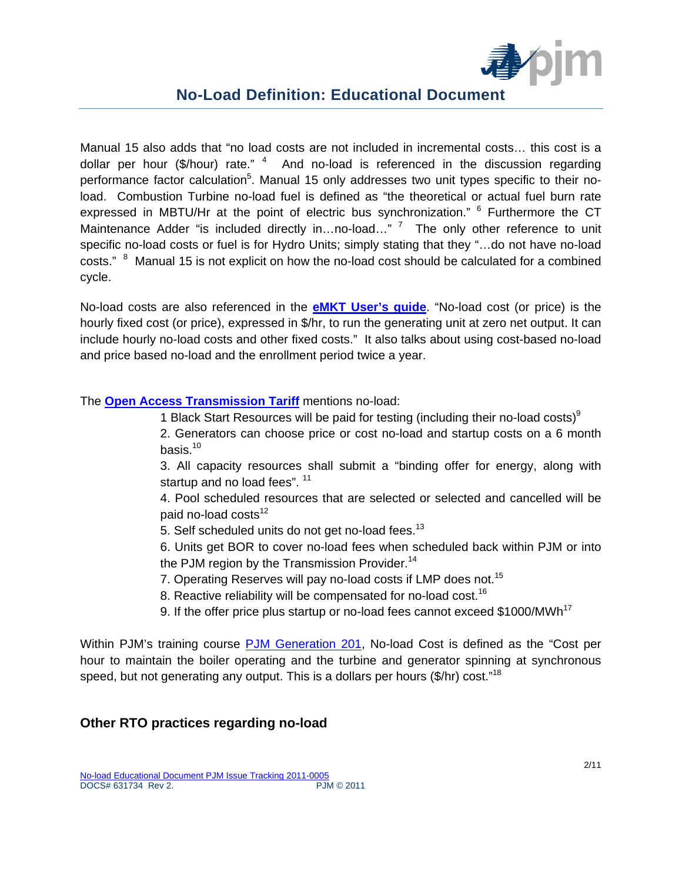

Manual 15 also adds that "no load costs are not included in incremental costs… this cost is a dollar per hour (\$/hour) rate."  $4$  And no-load is referenced in the discussion regarding performance factor calculation<sup>5</sup>. Manual 15 only addresses two unit types specific to their noload. Combustion Turbine no-load fuel is defined as "the theoretical or actual fuel burn rate expressed in MBTU/Hr at the point of electric bus synchronization." <sup>6</sup> Furthermore the CT Maintenance Adder "is included directly in...no-load..." <sup>7</sup> The only other reference to unit specific no-load costs or fuel is for Hydro Units; simply stating that they "…do not have no-load costs." <sup>8</sup> Manual 15 is not explicit on how the no-load cost should be calculated for a combined cycle.

No-load costs are also referenced in the **eMKT User's guide**. "No-load cost (or price) is the hourly fixed cost (or price), expressed in \$/hr, to run the generating unit at zero net output. It can include hourly no-load costs and other fixed costs." It also talks about using cost-based no-load and price based no-load and the enrollment period twice a year.

### The **Open Access Transmission Tariff** mentions no-load:

1 Black Start Resources will be paid for testing (including their no-load costs) $9$ 

2. Generators can choose price or cost no-load and startup costs on a 6 month basis.<sup>10</sup>

3. All capacity resources shall submit a "binding offer for energy, along with startup and no load fees". <sup>11</sup>

4. Pool scheduled resources that are selected or selected and cancelled will be paid no-load costs<sup>12</sup>

5. Self scheduled units do not get no-load fees.<sup>13</sup>

6. Units get BOR to cover no-load fees when scheduled back within PJM or into the PJM region by the Transmission Provider.<sup>14</sup>

7. Operating Reserves will pay no-load costs if LMP does not.<sup>15</sup>

8. Reactive reliability will be compensated for no-load cost.<sup>16</sup>

9. If the offer price plus startup or no-load fees cannot exceed \$1000/MWh<sup>17</sup>

Within PJM's training course PJM Generation 201, No-load Cost is defined as the "Cost per hour to maintain the boiler operating and the turbine and generator spinning at synchronous speed, but not generating any output. This is a dollars per hours  $(\frac{5}{\pi})$  cost.<sup>"18</sup>

## **Other RTO practices regarding no-load**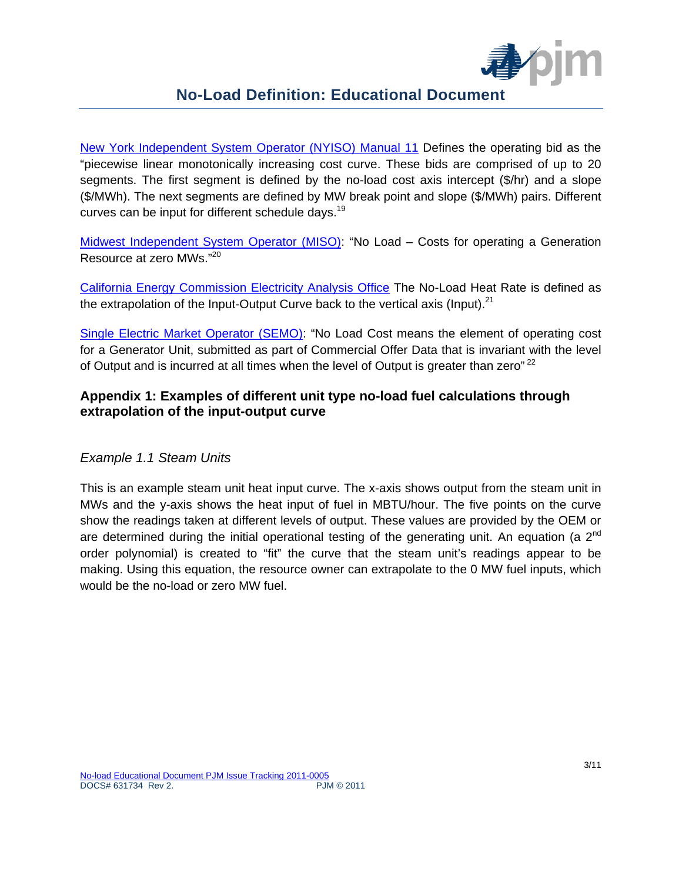

New York Independent System Operator (NYISO) Manual 11 Defines the operating bid as the "piecewise linear monotonically increasing cost curve. These bids are comprised of up to 20 segments. The first segment is defined by the no-load cost axis intercept (\$/hr) and a slope (\$/MWh). The next segments are defined by MW break point and slope (\$/MWh) pairs. Different curves can be input for different schedule days.<sup>19</sup>

Midwest Independent System Operator (MISO): "No Load – Costs for operating a Generation Resource at zero MWs."<sup>20</sup>

California Energy Commission Electricity Analysis Office The No-Load Heat Rate is defined as the extrapolation of the Input-Output Curve back to the vertical axis (Input). $^{21}$ 

Single Electric Market Operator (SEMO): "No Load Cost means the element of operating cost for a Generator Unit, submitted as part of Commercial Offer Data that is invariant with the level of Output and is incurred at all times when the level of Output is greater than zero" $^{22}$ 

## **Appendix 1: Examples of different unit type no-load fuel calculations through extrapolation of the input-output curve**

## *Example 1.1 Steam Units*

This is an example steam unit heat input curve. The x-axis shows output from the steam unit in MWs and the y-axis shows the heat input of fuel in MBTU/hour. The five points on the curve show the readings taken at different levels of output. These values are provided by the OEM or are determined during the initial operational testing of the generating unit. An equation (a 2<sup>nd</sup> order polynomial) is created to "fit" the curve that the steam unit's readings appear to be making. Using this equation, the resource owner can extrapolate to the 0 MW fuel inputs, which would be the no-load or zero MW fuel.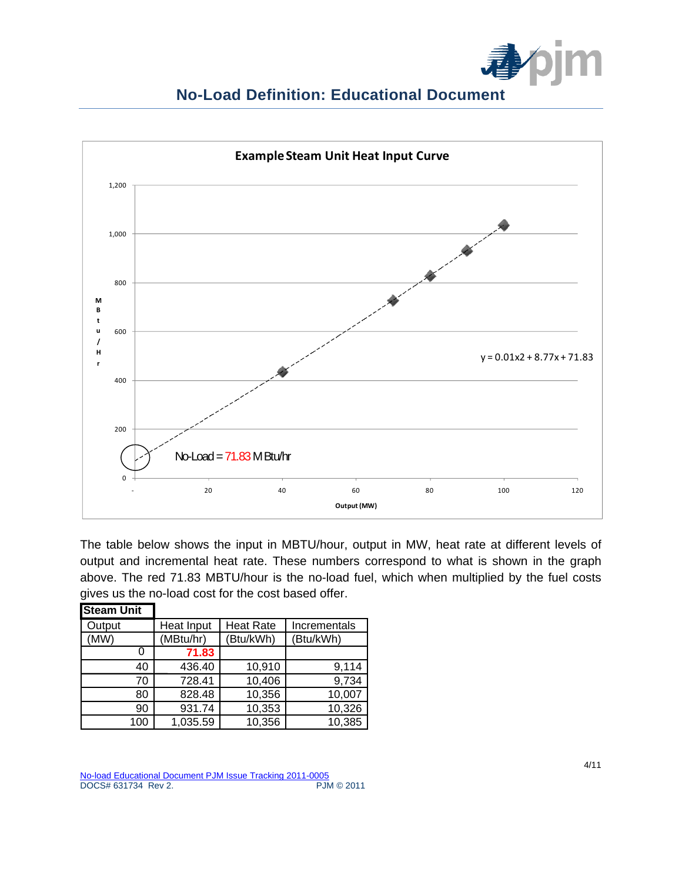



The table below shows the input in MBTU/hour, output in MW, heat rate at different levels of output and incremental heat rate. These numbers correspond to what is shown in the graph above. The red 71.83 MBTU/hour is the no-load fuel, which when multiplied by the fuel costs gives us the no-load cost for the cost based offer.

| <b>Steam Unit</b> |            |                  |              |
|-------------------|------------|------------------|--------------|
| Output            | Heat Input | <b>Heat Rate</b> | Incrementals |
| (MW)              | (MBtu/hr)  | (Btu/kWh)        | (Btu/kWh)    |
|                   | 71.83      |                  |              |
| 40                | 436.40     | 10,910           | 9,114        |
| 70                | 728.41     | 10,406           | 9,734        |
| 80                | 828.48     | 10,356           | 10,007       |
| 90                | 931.74     | 10,353           | 10,326       |
| 100               | 1,035.59   | 10,356           | 10,385       |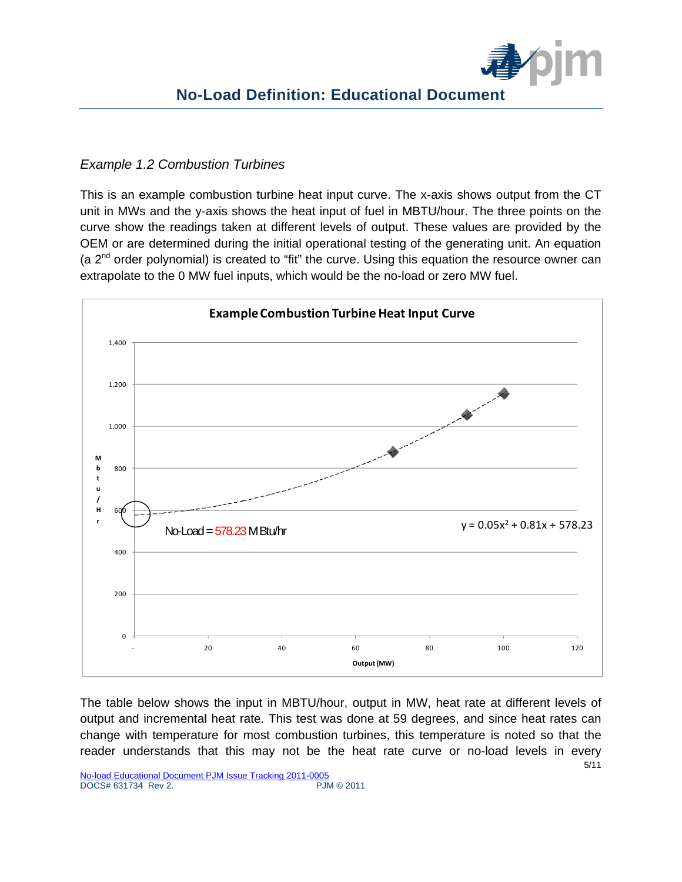

## *Example 1.2 Combustion Turbines*

This is an example combustion turbine heat input curve. The x-axis shows output from the CT unit in MWs and the y-axis shows the heat input of fuel in MBTU/hour. The three points on the curve show the readings taken at different levels of output. These values are provided by the OEM or are determined during the initial operational testing of the generating unit. An equation (a  $2<sup>nd</sup>$  order polynomial) is created to "fit" the curve. Using this equation the resource owner can extrapolate to the 0 MW fuel inputs, which would be the no-load or zero MW fuel.



5/11 The table below shows the input in MBTU/hour, output in MW, heat rate at different levels of output and incremental heat rate. This test was done at 59 degrees, and since heat rates can change with temperature for most combustion turbines, this temperature is noted so that the reader understands that this may not be the heat rate curve or no-load levels in every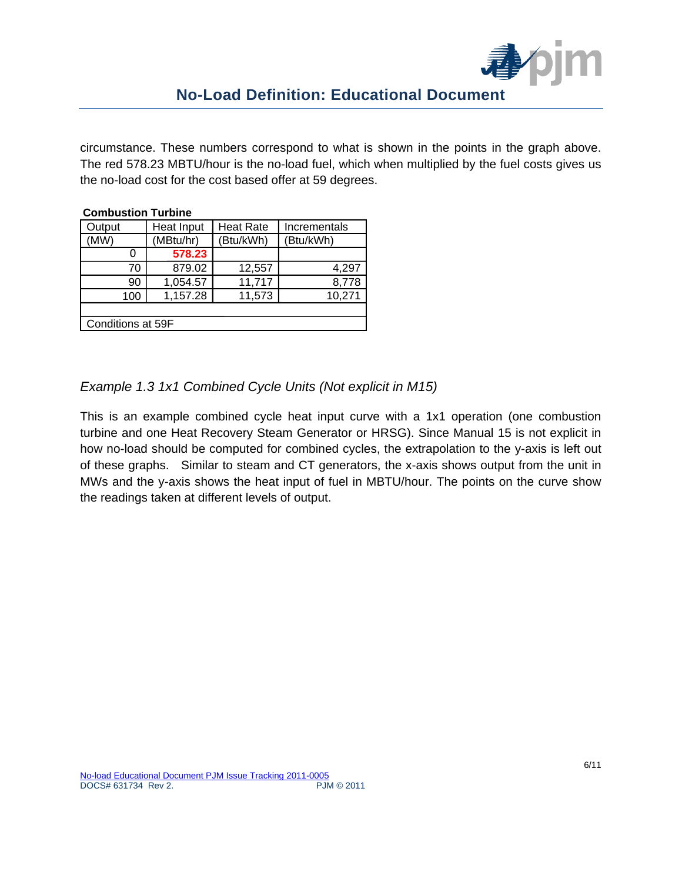

circumstance. These numbers correspond to what is shown in the points in the graph above. The red 578.23 MBTU/hour is the no-load fuel, which when multiplied by the fuel costs gives us the no-load cost for the cost based offer at 59 degrees.

| Compustion Turbine                  |            |           |              |  |  |  |  |  |
|-------------------------------------|------------|-----------|--------------|--|--|--|--|--|
| Output                              | Heat Input |           | Incrementals |  |  |  |  |  |
| (MW)                                | (MBtu/hr)  | (Btu/kWh) | (Btu/kWh)    |  |  |  |  |  |
|                                     | 578.23     |           |              |  |  |  |  |  |
| 70                                  | 879.02     | 12,557    | 4,297        |  |  |  |  |  |
| 90                                  | 1,054.57   | 11,717    | 8,778        |  |  |  |  |  |
| 11,573<br>1,157.28<br>10,271<br>100 |            |           |              |  |  |  |  |  |
|                                     |            |           |              |  |  |  |  |  |
| Conditions at 59F                   |            |           |              |  |  |  |  |  |

#### **Combustion Turbine**

## *Example 1.3 1x1 Combined Cycle Units (Not explicit in M15)*

This is an example combined cycle heat input curve with a 1x1 operation (one combustion turbine and one Heat Recovery Steam Generator or HRSG). Since Manual 15 is not explicit in how no-load should be computed for combined cycles, the extrapolation to the y-axis is left out of these graphs. Similar to steam and CT generators, the x-axis shows output from the unit in MWs and the y-axis shows the heat input of fuel in MBTU/hour. The points on the curve show the readings taken at different levels of output.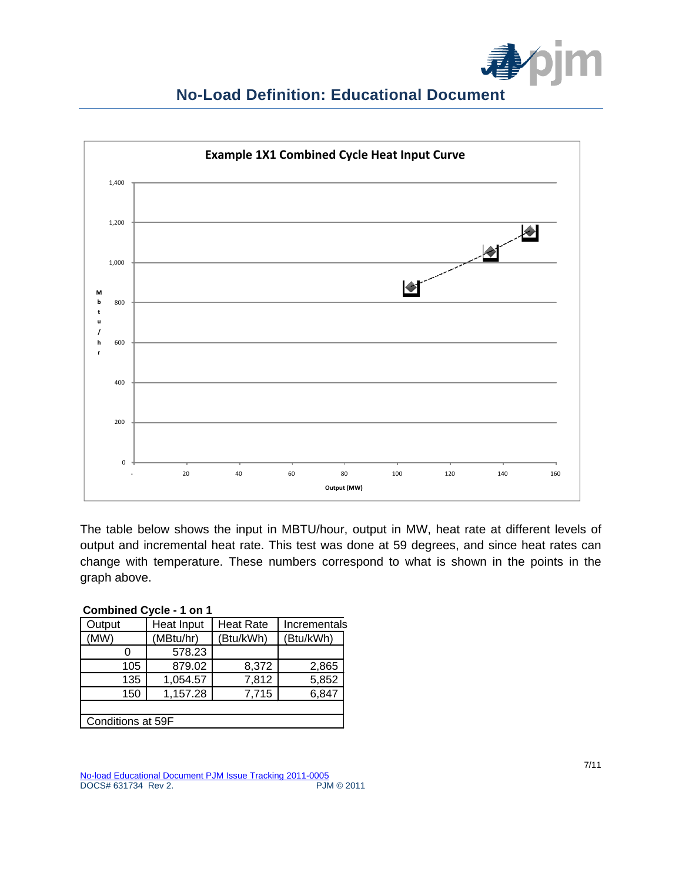



The table below shows the input in MBTU/hour, output in MW, heat rate at different levels of output and incremental heat rate. This test was done at 59 degrees, and since heat rates can change with temperature. These numbers correspond to what is shown in the points in the graph above.

| <b>Combined Cycle - 1 on 1</b> |  |  |
|--------------------------------|--|--|
|                                |  |  |

| Output            | Heat Input | <b>Heat Rate</b> | Incrementals |  |  |  |  |  |
|-------------------|------------|------------------|--------------|--|--|--|--|--|
| (MW)              | (MBtu/hr)  | (Btu/kWh)        | (Btu/kWh)    |  |  |  |  |  |
|                   | 578.23     |                  |              |  |  |  |  |  |
| 105               | 879.02     | 8,372            | 2,865        |  |  |  |  |  |
| 135               | 1,054.57   | 7,812            | 5,852        |  |  |  |  |  |
| 150               | 1,157.28   | 7,715            | 6,847        |  |  |  |  |  |
|                   |            |                  |              |  |  |  |  |  |
| Conditions at 59F |            |                  |              |  |  |  |  |  |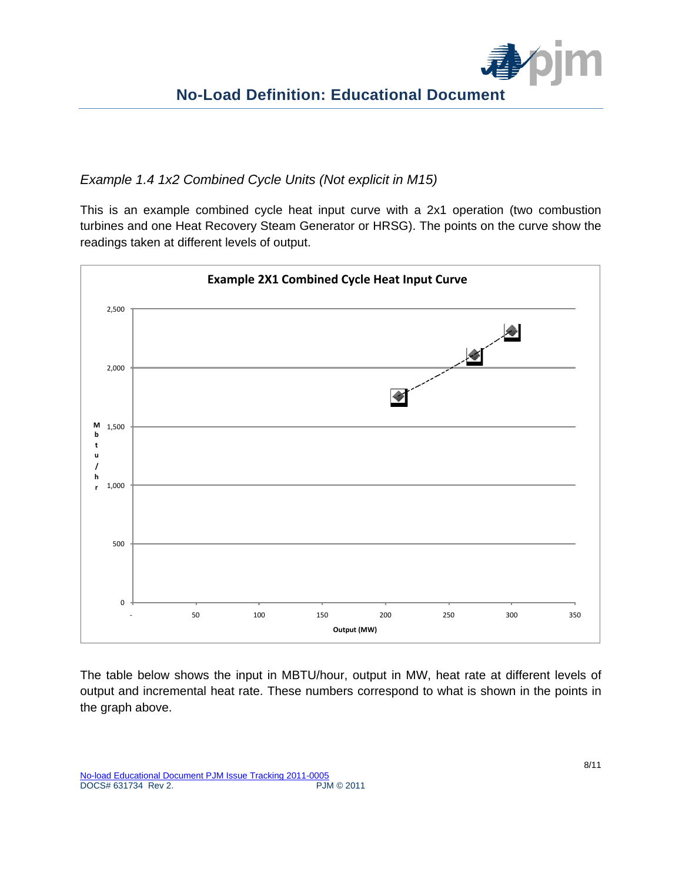

*Example 1.4 1x2 Combined Cycle Units (Not explicit in M15)* 

This is an example combined cycle heat input curve with a 2x1 operation (two combustion turbines and one Heat Recovery Steam Generator or HRSG). The points on the curve show the readings taken at different levels of output.



The table below shows the input in MBTU/hour, output in MW, heat rate at different levels of output and incremental heat rate. These numbers correspond to what is shown in the points in the graph above.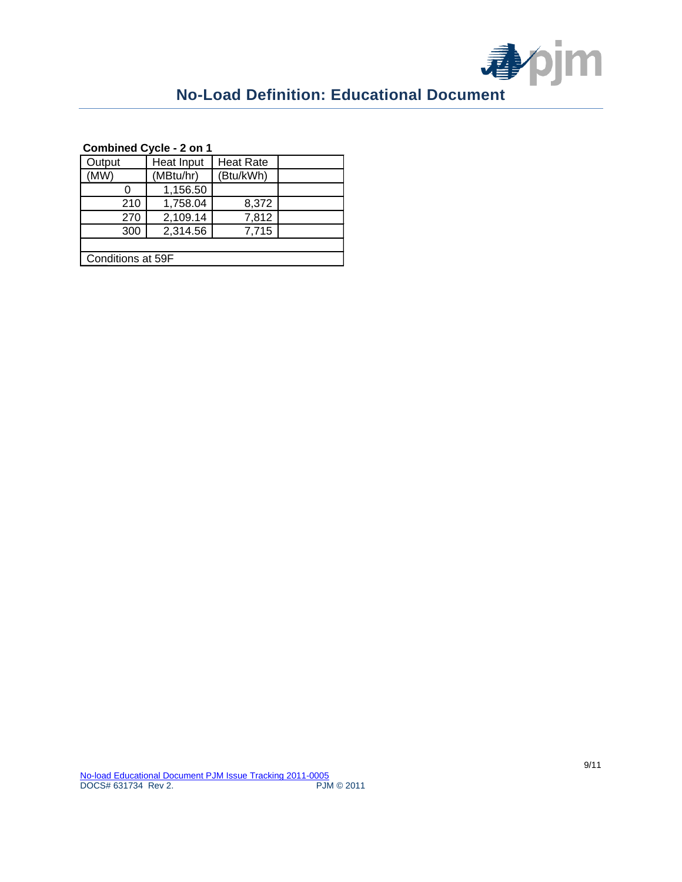

#### **Combined Cycle - 2 on 1**

| Output            | Heat Input | <b>Heat Rate</b> |  |  |  |  |  |  |
|-------------------|------------|------------------|--|--|--|--|--|--|
| (MW)              | (MBtu/hr)  | (Btu/kWh)        |  |  |  |  |  |  |
|                   | 1,156.50   |                  |  |  |  |  |  |  |
| 210               | 1,758.04   | 8,372            |  |  |  |  |  |  |
| 270               | 2,109.14   | 7,812            |  |  |  |  |  |  |
| 300               | 2,314.56   | 7,715            |  |  |  |  |  |  |
|                   |            |                  |  |  |  |  |  |  |
| Conditions at 59F |            |                  |  |  |  |  |  |  |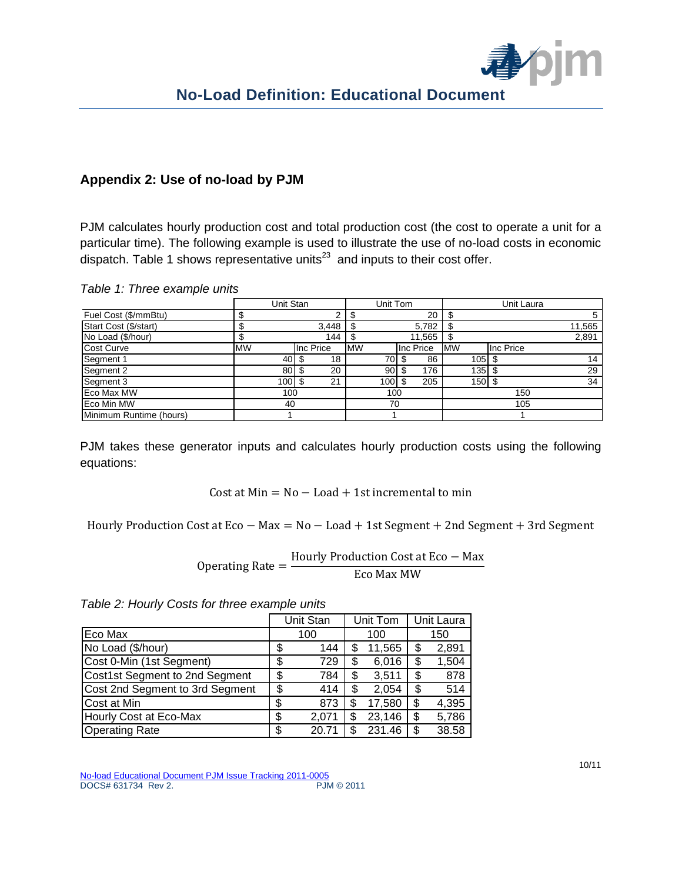

## **Appendix 2: Use of no-load by PJM**

PJM calculates hourly production cost and total production cost (the cost to operate a unit for a particular time). The following example is used to illustrate the use of no-load costs in economic dispatch. Table 1 shows representative units $^{23}$  and inputs to their cost offer.

*Table 1: Three example units* 

|                         |             | Unit Stan    |        |           | Unit Tom  |     |  | Unit Laura |     |           |        |           |  |    |
|-------------------------|-------------|--------------|--------|-----------|-----------|-----|--|------------|-----|-----------|--------|-----------|--|----|
| Fuel Cost (\$/mmBtu)    |             |              |        |           |           |     |  |            | 20  |           |        |           |  |    |
| Start Cost (\$/start)   | 3,448<br>ъĐ |              |        | 5,782     |           |     |  |            |     | 11,565    |        |           |  |    |
| No Load (\$/hour)       | 144         |              | 11.565 |           |           |     |  | 2,891      |     |           |        |           |  |    |
| <b>Cost Curve</b>       | IMW         |              |        | Inc Price | <b>MW</b> |     |  | Inc Price  |     | <b>MW</b> |        | Inc Price |  |    |
| Segment 1               |             | $40\sqrt{3}$ |        | 18        |           | 70I |  | æ          | 86  |           | 105    |           |  | 14 |
| Segment 2               |             | 80 \$        |        | 20        |           | 90  |  |            | 176 |           | 135    |           |  | 29 |
| Segment 3               |             | 100 \$       |        | 21        |           | 100 |  |            | 205 |           | 150 \$ |           |  | 34 |
| Eco Max MW              |             | 100          |        | 100       |           | 150 |  |            |     |           |        |           |  |    |
| Eco Min MW              |             | 40           |        | 70        |           | 105 |  |            |     |           |        |           |  |    |
| Minimum Runtime (hours) |             |              |        |           |           |     |  |            |     |           |        |           |  |    |

PJM takes these generator inputs and calculates hourly production costs using the following equations:

Cost at  $Min = No - Load + 1$ st incremental to min

Hourly Production Cost at Eco  $-$  Max = No  $-$  Load  $+$  1st Segment  $+$  2nd Segment  $+$  3rd Segment

Operating Rate = 
$$
\frac{\text{Hourly Production Cost at Eco} - \text{Max}}{\text{Eco Max MW}}
$$

*Table 2: Hourly Costs for three example units* 

|                                 | Unit Stan   |    | Unit Tom | Unit Laura |       |
|---------------------------------|-------------|----|----------|------------|-------|
| Eco Max                         | 100         |    | 100      |            | 150   |
| No Load (\$/hour)               | \$<br>144   | \$ | 11,565   | \$         | 2,891 |
| Cost 0-Min (1st Segment)        | \$<br>729   | \$ | 6,016    | \$         | 1,504 |
| Cost1st Segment to 2nd Segment  | \$<br>784   | \$ | 3,511    | S          | 878   |
| Cost 2nd Segment to 3rd Segment | \$<br>414   | \$ | 2,054    | S          | 514   |
| Cost at Min                     | \$<br>873   | \$ | 17,580   | \$         | 4,395 |
| Hourly Cost at Eco-Max          | \$<br>2.071 | S  | 23,146   | \$         | 5,786 |
| <b>Operating Rate</b>           | \$<br>20.71 | S  | 231.46   | S          | 38.58 |